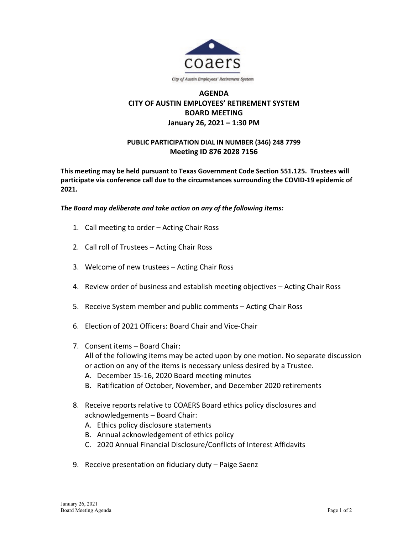

## **AGENDA CITY OF AUSTIN EMPLOYEES' RETIREMENT SYSTEM BOARD MEETING January 26, 2021 – 1:30 PM**

## **PUBLIC PARTICIPATION DIAL IN NUMBER (346) 248 7799 Meeting ID 876 2028 7156**

**This meeting may be held pursuant to Texas Government Code Section 551.125. Trustees will participate via conference call due to the circumstances surrounding the COVID-19 epidemic of 2021.**

## *The Board may deliberate and take action on any of the following items:*

- 1. Call meeting to order Acting Chair Ross
- 2. Call roll of Trustees Acting Chair Ross
- 3. Welcome of new trustees Acting Chair Ross
- 4. Review order of business and establish meeting objectives Acting Chair Ross
- 5. Receive System member and public comments Acting Chair Ross
- 6. Election of 2021 Officers: Board Chair and Vice-Chair
- 7. Consent items Board Chair: All of the following items may be acted upon by one motion. No separate discussion or action on any of the items is necessary unless desired by a Trustee.
	- A. December 15-16, 2020 Board meeting minutes
	- B. Ratification of October, November, and December 2020 retirements
- 8. Receive reports relative to COAERS Board ethics policy disclosures and acknowledgements – Board Chair:
	- A. Ethics policy disclosure statements
	- B. Annual acknowledgement of ethics policy
	- C. 2020 Annual Financial Disclosure/Conflicts of Interest Affidavits
- 9. Receive presentation on fiduciary duty Paige Saenz